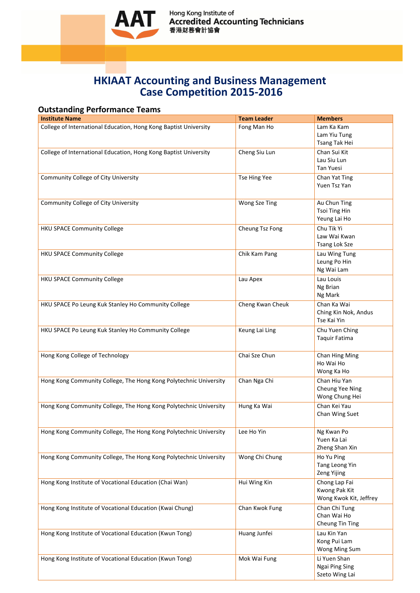

Hong Kong Institute of<br>**Accredited Accounting Technicians**<br>香港財務會計協會

## **HKIAAT Accounting and Business Management Case Competition 2015-2016**

## **Outstanding Performance Teams**

| <b>Institute Name</b>                                             | <b>Team Leader</b>   | <b>Members</b>                                           |
|-------------------------------------------------------------------|----------------------|----------------------------------------------------------|
| College of International Education, Hong Kong Baptist University  | Fong Man Ho          | Lam Ka Kam<br>Lam Yiu Tung<br>Tsang Tak Hei              |
| College of International Education, Hong Kong Baptist University  | Cheng Siu Lun        | Chan Sui Kit<br>Lau Siu Lun<br><b>Tan Yuesi</b>          |
| <b>Community College of City University</b>                       | <b>Tse Hing Yee</b>  | Chan Yat Ting<br>Yuen Tsz Yan                            |
| <b>Community College of City University</b>                       | <b>Wong Sze Ting</b> | Au Chun Ting<br><b>Tsoi Ting Hin</b><br>Yeung Lai Ho     |
| <b>HKU SPACE Community College</b>                                | Cheung Tsz Fong      | Chu Tik Yi<br>Law Wai Kwan<br><b>Tsang Lok Sze</b>       |
| <b>HKU SPACE Community College</b>                                | Chik Kam Pang        | Lau Wing Tung<br>Leung Po Hin<br>Ng Wai Lam              |
| <b>HKU SPACE Community College</b>                                | Lau Apex             | Lau Louis<br>Ng Brian<br>Ng Mark                         |
| HKU SPACE Po Leung Kuk Stanley Ho Community College               | Cheng Kwan Cheuk     | Chan Ka Wai<br>Ching Kin Nok, Andus<br>Tse Kai Yin       |
| HKU SPACE Po Leung Kuk Stanley Ho Community College               | Keung Lai Ling       | Chu Yuen Ching<br>Taquir Fatima                          |
| Hong Kong College of Technology                                   | Chai Sze Chun        | <b>Chan Hing Ming</b><br>Ho Wai Ho<br>Wong Ka Ho         |
| Hong Kong Community College, The Hong Kong Polytechnic University | Chan Nga Chi         | Chan Hiu Yan<br>Cheung Yee Ning<br>Wong Chung Hei        |
| Hong Kong Community College, The Hong Kong Polytechnic University | Hung Ka Wai          | Chan Kei Yau<br>Chan Wing Suet                           |
| Hong Kong Community College, The Hong Kong Polytechnic University | Lee Ho Yin           | Ng Kwan Po<br>Yuen Ka Lai<br>Zheng Shan Xin              |
| Hong Kong Community College, The Hong Kong Polytechnic University | Wong Chi Chung       | Ho Yu Ping<br>Tang Leong Yin<br><b>Zeng Yijing</b>       |
| Hong Kong Institute of Vocational Education (Chai Wan)            | Hui Wing Kin         | Chong Lap Fai<br>Kwong Pak Kit<br>Wong Kwok Kit, Jeffrey |
| Hong Kong Institute of Vocational Education (Kwai Chung)          | Chan Kwok Fung       | Chan Chi Tung<br>Chan Wai Ho<br><b>Cheung Tin Ting</b>   |
| Hong Kong Institute of Vocational Education (Kwun Tong)           | Huang Junfei         | Lau Kin Yan<br>Kong Pui Lam<br>Wong Ming Sum             |
| Hong Kong Institute of Vocational Education (Kwun Tong)           | Mok Wai Fung         | Li Yuen Shan<br>Ngai Ping Sing<br>Szeto Wing Lai         |